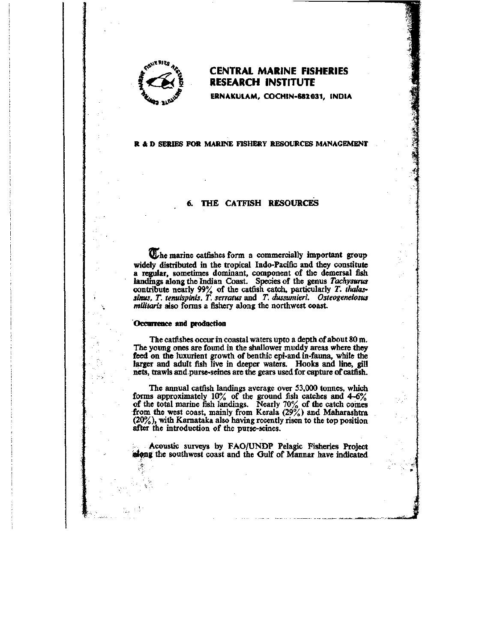

# **^^v^"-^.,^ CENTRAL MARINE FISHERIES RESEARCH INSTITUTE**

**ERNAKULAM, COCHIN-682 031, INDIA** 

### **R & D SERIES FOR MARINE FISHERY RESOURCES MANAGEMENT**

## THE CATFISH RESOURCES

U<sub>che marine catfishes form a commercially important group</sub> widely distributed in the tropical Indo-Pacific and they constitute a regular, sometimes dominant, component of the demersal fish landings along the Indian Coast. Species of the genus Tachysurus contribute nearly 99% of the catfish catch, particularly *T. thalassinus. T. tenuispinis, T. serratus* and *T. dussumieri. Osteogeneiosus militaris* also forms a fishery along the northwest coast.

## Occurrence and production

The catfishes occur in coastal waters upto a depth of about 80 m. The young ones are found in the shallower muddy areas where they feed on the luxurient growth of benthic epi-and in-fauna, while the larger and adult fish live in deeper waters. Hooks and line, gill nets, trawls and purse-seines are the gears used for capture of catfish.

The annual catfish landings average over 53,000 tonnes, which forms approximately  $10\%$  of the ground fish catches and  $4-6\%$ of the total marine fish landings. Nearly 70% of the catch comes from the west coast, mainly from Kerala (29%) and Maharashtra (20%), with Kamataka also having recently risen to the top position after the introduction of the purse-seines.

Acoustic surveys by FAO/UNDP Pelagic Fisheries Project *^qing* the southwest coast and the Gulf of Mannar have indicated

**J:**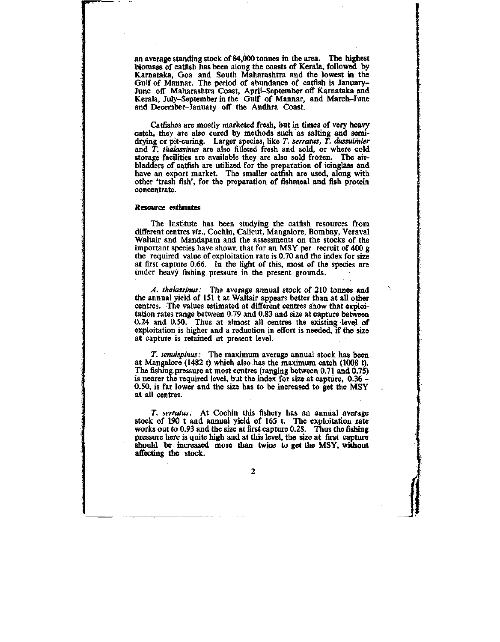an average standing stock of 84,000 tonnes in the area. The highest biomass of catfish has been along the coasts of Kerala, followed by Kamataka, Goa and South Maharashtra and the lowest in the Gulf of Mannar. The period of abundance of catfish is January-June off Maharashtra Coast, April-September off Kamataka and Kerala, July-September in the Gulf of Mannar, and March-June and December-January off the Andhra Coast.

Catfishes are mostly marketed fresh, but in times of very heavy catch, they are also cured by methods such as salting and semidrying or pit-curing. Larger species, like *T. serratus, T. dussuimier*  and *T. thalassinus* are also filleted fresh and sold, or where cold storage facilities are available they are also sold frozen. The airbladders of catfish are utilized for the preparation of icinglass and have an export market. The smaller catfish are used, along with other 'trash fish', for the preparation of fishmeal and fish protein concentrate.

#### Resource estimates

The Institute has been studying the catfish resources from different centres *viz.,* Cochin, Calicut, Mangalore, Bombay, Veraval Waltair and Mandapam and the assessments on the stocks of the important species have shown that for an MSY per recruit of 400 g the required value of exploitation rate is 0.70 and the index for size at first capture 0.66. In the light of this, most of the species are under heavy fishing pressure in the present grounds.

*A. thalassinus:* The average annual stock of 210 tonnes and the annual yield of 151 t at Waltair appears better than at all other centres. The values estimated at different centres show that exploitation rates range between 0.79 and 0.83 and size at capture between 0.24 and 0.50. Thus at almost all centres the existing level of exploitation is higher and a reduction in effort is needed, if the size at capture is retained at present level.

*T. tenuispJnus:* The maximum average annual stock has been at Mangalore (1482 t) which also has the maximum catch (1008 t). The fishing pressure at most centres (ranging between 0.71 and 0.75) is nearer the required level, but the index for size at capture, 0.36 - 0.50, is far lower and the size has to be increased to get the MSY at all centres.

*T. serratus:* At Cochin this fishery has an annual average stock of 190 t and annual yield of 165 t. The exploitation rate works out to 0.93 and the size at first capture 0.28. Thus the fishing pressure here is quite high and at this level, the size at first capture should be increased more than twice to get the MSY, without affecting the stock.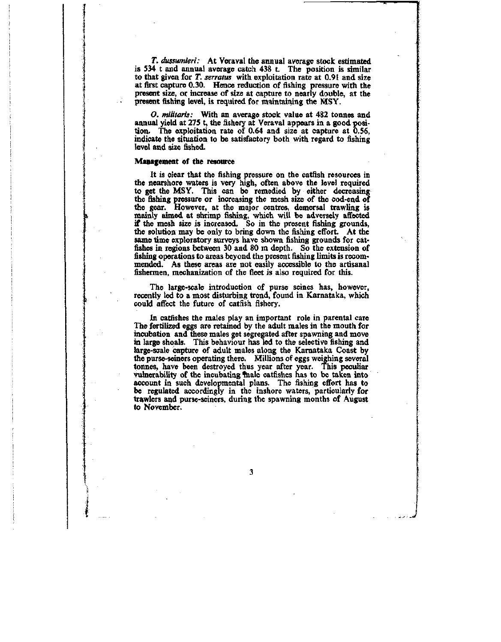*T. dussumieri:* At Veraval the annual average stock estimated is 534 t and annual average catch 438 t. The position is similar to that given for *T. serratus* with exploitation rate at 0.91 and size at first capture 0.30. Hence reduction of fishing pressure with the present size, or increase of size at capture to nearly double, at the present fishing level, is required for maintaining the MSY.

*O. mititaris:* With an average stock value at 482 tonnes and annual yield at 275 t, the fishery at Veraval appears in a good position. The exploitation rate of 0.64 and size at capture at 0.56, indicate the situation to be satisfactory both with regard to fishing level and size fished.

#### Management of the resource

It is clear that the fishing pressure on the catfish resources in the nearshore waters is very high, often above the level required to get the MSY. This can be remedied by either decreasing the fishing pressure or increasing the mesh size of the cod-end of the gear. However, at the major centres, demersal trawling is mainly mmed at shrimp fishing, which will be adversely affected if the mesh size is increased. So in the present fishing grounds, the solution may be only to bring down the fishing effort. At the same time exploratory surveys have shown fishing grounds for catfishes in regions between 30 and 80 m depth. So the extension of fishing operations to areas beyond the present fishing limits is recommended. As these areas are not easily accessible to the artisanal fishermen, mechanization of the fleet is also required for this.

The large-scale introduction of purse seines has, however, recently led to a most disturbing trend, found in Karnataka, which could affect the future of catfish fishery.

In catfishes the males play an important role in parental care The fertilized eggs are retained by the adult males in the mouth for incubation and these males get segregated after spawning and move in large shoals. This behaviour has led to the selective fishing and large-scale capture of adult males along the Karnataka Coast by the purse-seiners operating there. Millions of eggs weighing several tonnes, have been destroyed thus year after year. This peculiar vulnerability of the incubating finale catfishes has to be taken into account in such developmental plans. The fishing effort has to be regulated accordingly in the inshore waters, particularly for trawlers and purse-seiners, during the spawning months of August to November.